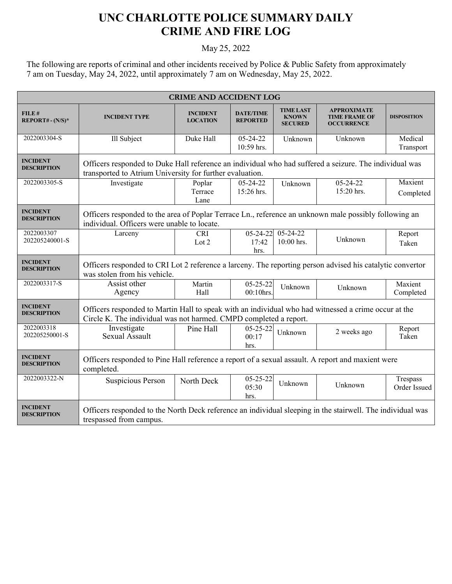## **UNC CHARLOTTE POLICE SUMMARY DAILY CRIME AND FIRE LOG**

May 25, 2022

The following are reports of criminal and other incidents received by Police & Public Safety from approximately 7 am on Tuesday, May 24, 2022, until approximately 7 am on Wednesday, May 25, 2022.

| <b>CRIME AND ACCIDENT LOG</b>         |                                                                                                                                                                           |                                    |                                     |                                                    |                                                                 |                          |  |
|---------------------------------------|---------------------------------------------------------------------------------------------------------------------------------------------------------------------------|------------------------------------|-------------------------------------|----------------------------------------------------|-----------------------------------------------------------------|--------------------------|--|
| FILE#<br>$REPORT# - (N/S)*$           | <b>INCIDENT TYPE</b>                                                                                                                                                      | <b>INCIDENT</b><br><b>LOCATION</b> | <b>DATE/TIME</b><br><b>REPORTED</b> | <b>TIME LAST</b><br><b>KNOWN</b><br><b>SECURED</b> | <b>APPROXIMATE</b><br><b>TIME FRAME OF</b><br><b>OCCURRENCE</b> | <b>DISPOSITION</b>       |  |
| 2022003304-S                          | Ill Subject                                                                                                                                                               | Duke Hall                          | 05-24-22<br>10:59 hrs.              | Unknown                                            | Unknown                                                         | Medical<br>Transport     |  |
| <b>INCIDENT</b><br><b>DESCRIPTION</b> | Officers responded to Duke Hall reference an individual who had suffered a seizure. The individual was<br>transported to Atrium University for further evaluation.        |                                    |                                     |                                                    |                                                                 |                          |  |
| 2022003305-S                          | Investigate                                                                                                                                                               | Poplar<br>Terrace<br>Lane          | 05-24-22<br>15:26 hrs.              | Unknown                                            | $05 - 24 - 22$<br>15:20 hrs.                                    | Maxient<br>Completed     |  |
| <b>INCIDENT</b><br><b>DESCRIPTION</b> | Officers responded to the area of Poplar Terrace Ln., reference an unknown male possibly following an<br>individual. Officers were unable to locate.                      |                                    |                                     |                                                    |                                                                 |                          |  |
| 2022003307<br>202205240001-S          | Larceny                                                                                                                                                                   | <b>CRI</b><br>Lot 2                | $05 - 24 - 22$<br>17:42<br>hrs.     | $05 - 24 - 22$<br>10:00 hrs.                       | Unknown                                                         | Report<br>Taken          |  |
| <b>INCIDENT</b><br><b>DESCRIPTION</b> | Officers responded to CRI Lot 2 reference a larceny. The reporting person advised his catalytic convertor<br>was stolen from his vehicle.                                 |                                    |                                     |                                                    |                                                                 |                          |  |
| 2022003317-S                          | Assist other<br>Agency                                                                                                                                                    | Martin<br>Hall                     | 05-25-22<br>00:10hrs                | Unknown                                            | Unknown                                                         | Maxient<br>Completed     |  |
| <b>INCIDENT</b><br><b>DESCRIPTION</b> | Officers responded to Martin Hall to speak with an individual who had witnessed a crime occur at the<br>Circle K. The individual was not harmed. CMPD completed a report. |                                    |                                     |                                                    |                                                                 |                          |  |
| 2022003318<br>202205250001-S          | Investigate<br>Sexual Assault                                                                                                                                             | Pine Hall                          | $05 - 25 - 22$<br>00:17<br>hrs.     | Unknown                                            | 2 weeks ago                                                     | Report<br>Taken          |  |
| <b>INCIDENT</b><br><b>DESCRIPTION</b> | Officers responded to Pine Hall reference a report of a sexual assault. A report and maxient were<br>completed.                                                           |                                    |                                     |                                                    |                                                                 |                          |  |
| 2022003322-N                          | <b>Suspicious Person</b>                                                                                                                                                  | North Deck                         | 05-25-22<br>05:30<br>hrs.           | Unknown                                            | Unknown                                                         | Trespass<br>Order Issued |  |
| <b>INCIDENT</b><br><b>DESCRIPTION</b> | Officers responded to the North Deck reference an individual sleeping in the stairwell. The individual was<br>trespassed from campus.                                     |                                    |                                     |                                                    |                                                                 |                          |  |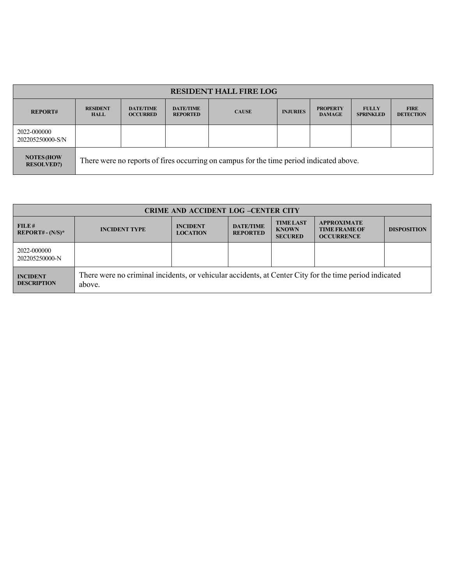| <b>RESIDENT HALL FIRE LOG</b>          |                                                                                         |                                     |                                     |              |                 |                                  |                                  |                                 |
|----------------------------------------|-----------------------------------------------------------------------------------------|-------------------------------------|-------------------------------------|--------------|-----------------|----------------------------------|----------------------------------|---------------------------------|
| <b>REPORT#</b>                         | <b>RESIDENT</b><br><b>HALL</b>                                                          | <b>DATE/TIME</b><br><b>OCCURRED</b> | <b>DATE/TIME</b><br><b>REPORTED</b> | <b>CAUSE</b> | <b>INJURIES</b> | <b>PROPERTY</b><br><b>DAMAGE</b> | <b>FULLY</b><br><b>SPRINKLED</b> | <b>FIRE</b><br><b>DETECTION</b> |
| 2022-000000<br>202205250000-S/N        |                                                                                         |                                     |                                     |              |                 |                                  |                                  |                                 |
| <b>NOTES (HOW</b><br><b>RESOLVED?)</b> | There were no reports of fires occurring on campus for the time period indicated above. |                                     |                                     |              |                 |                                  |                                  |                                 |

| <b>CRIME AND ACCIDENT LOG -CENTER CITY</b> |                                                                                                                  |                                    |                                     |                                                    |                                                                 |                    |  |
|--------------------------------------------|------------------------------------------------------------------------------------------------------------------|------------------------------------|-------------------------------------|----------------------------------------------------|-----------------------------------------------------------------|--------------------|--|
| FILE#<br>$REPORT# - (N/S)*$                | <b>INCIDENT TYPE</b>                                                                                             | <b>INCIDENT</b><br><b>LOCATION</b> | <b>DATE/TIME</b><br><b>REPORTED</b> | <b>TIME LAST</b><br><b>KNOWN</b><br><b>SECURED</b> | <b>APPROXIMATE</b><br><b>TIME FRAME OF</b><br><b>OCCURRENCE</b> | <b>DISPOSITION</b> |  |
| 2022-000000<br>202205250000-N              |                                                                                                                  |                                    |                                     |                                                    |                                                                 |                    |  |
| <b>INCIDENT</b><br><b>DESCRIPTION</b>      | There were no criminal incidents, or vehicular accidents, at Center City for the time period indicated<br>above. |                                    |                                     |                                                    |                                                                 |                    |  |